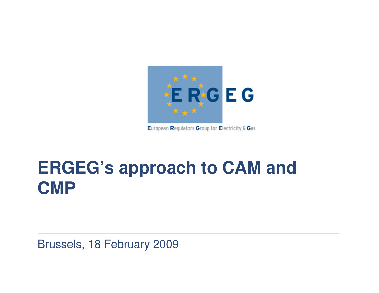

European Regulators Group for Electricity & Gas

# **ERGEG's approach to CAM and CMP**

Brussels, 18 February 2009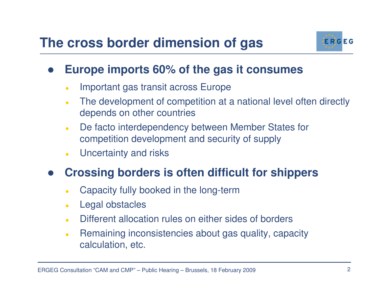### **The cross border dimension of gas**



#### $\bullet$ **Europe imports 60% of the gas it consumes**

- $\bullet$ Important gas transit across Europe
- $\bullet$  The development of competition at a national level often directly depends on other countries
- $\bullet$  De facto interdependency between Member States for competition development and security of supply
- $\bullet$ Uncertainty and risks

#### $\bullet$ **Crossing borders is often difficult for shippers**

- $\bullet$ Capacity fully booked in the long-term
- $\bullet$ Legal obstacles
- $\bullet$ Different allocation rules on either sides of borders
- $\bullet$  Remaining inconsistencies about gas quality, capacity calculation, etc.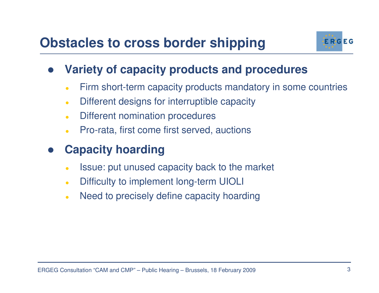

#### $\bullet$ **Variety of capacity products and procedures**

- $\bullet$ Firm short-term capacity products mandatory in some countries
- $\bullet$ Different designs for interruptible capacity
- $\bullet$ Different nomination procedures
- $\bullet$ Pro-rata, first come first served, auctions

#### $\bullet$ **Capacity hoarding**

- $\bullet$ Issue: put unused capacity back to the market
- $\bullet$ Difficulty to implement long-term UIOLI
- $\bullet$ Need to precisely define capacity hoarding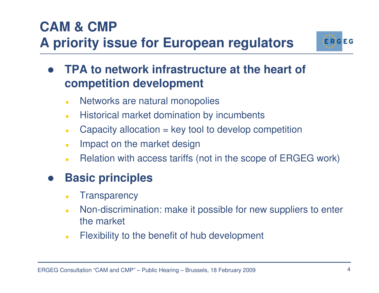### the market

 $\bullet$ Flexibility to the benefit of hub development

### **CAM & CMP**

## **A priority issue for European regulators**

#### $\bullet$  **TPA to network infrastructure at the heart of competition development**

- $\bullet$ Networks are natural monopolies
- $\bullet$ Historical market domination by incumbents
- $\bullet$ Capacity allocation = key tool to develop competition
- $\bullet$ Impact on the market design
- $\bullet$ Relation with access tariffs (not in the scope of ERGEG work)

Non-discrimination: make it possible for new suppliers to enter

#### $\bullet$ **Transparency**

**Basic principles**

 $\bullet$ 

 $\bullet$ 

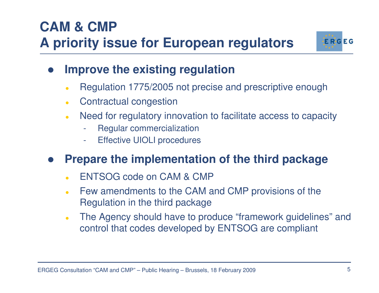## **CAM & CMPA priority issue for European regulators**



- $\bullet$  **Improve the existing regulation**
	- $\bullet$ Regulation 1775/2005 not precise and prescriptive enough
	- $\bullet$ Contractual congestion
	- $\bullet$  Need for regulatory innovation to facilitate access to capacity
		- Regular commercialization
		- Effective UIOLI procedures

#### $\bullet$ **Prepare the implementation of the third package**

- $\bullet$ ENTSOG code on CAM & CMP
- Few amendments to the CAM and CMP provisions of the $\bullet$ Regulation in the third package
- $\bullet$  The Agency should have to produce "framework guidelines" and control that codes developed by ENTSOG are compliant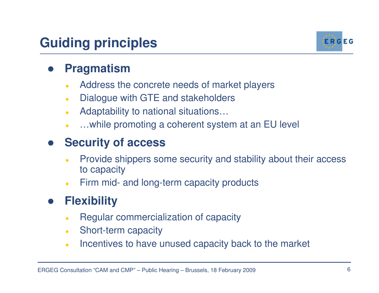### **Guiding principles**



#### $\bullet$ **Pragmatism**

- Address the concrete needs of market players $\bullet$
- $\bullet$ Dialogue with GTE and stakeholders
- $\bullet$ Adaptability to national situations…
- …while promoting a coherent system at an EU level  $\bullet$

#### $\bullet$ **Security of access**

- $\bullet$  Provide shippers some security and stability about their access to capacity
- $\bullet$ Firm mid- and long-term capacity products

#### $\bullet$ **Flexibility**

- $\bullet$ Regular commercialization of capacity
- $\bullet$ Short-term capacity
- $\bullet$ Incentives to have unused capacity back to the market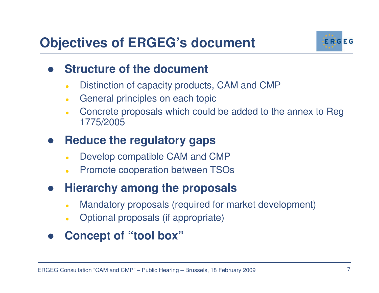## **Objectives of ERGEG's document**



#### $\bullet$ **Structure of the document**

- $\bullet$ Distinction of capacity products, CAM and CMP
- $\bullet$ General principles on each topic
- $\bullet$  Concrete proposals which could be added to the annex to Reg1775/2005

#### $\bullet$ **Reduce the regulatory gaps**

- $\bullet$ Develop compatible CAM and CMP
- **Promote cooperation between TSOs**  $\bullet$

#### $\bullet$ **Hierarchy among the proposals**

- $\bullet$ Mandatory proposals (required for market development)
- $\bullet$ Optional proposals (if appropriate)
- $\bullet$ **Concept of "tool box"**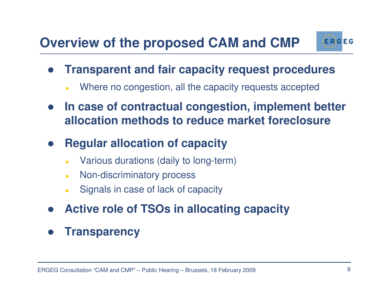## **Overview of the proposed CAM and CMP**



- $\bullet$  **Transparent and fair capacity request procedures**
	- $\bullet$ Where no congestion, all the capacity requests accepted
- $\bullet$  **In case of contractual congestion, implement better allocation methods to reduce market foreclosure**
- $\bullet$  **Regular allocation of capacity**
	- $\bullet$ Various durations (daily to long-term)
	- $\bullet$ Non-discriminatory process
	- $\bullet$ Signals in case of lack of capacity
- $\bullet$ **Active role of TSOs in allocating capacity**
- $\bullet$ **Transparency**